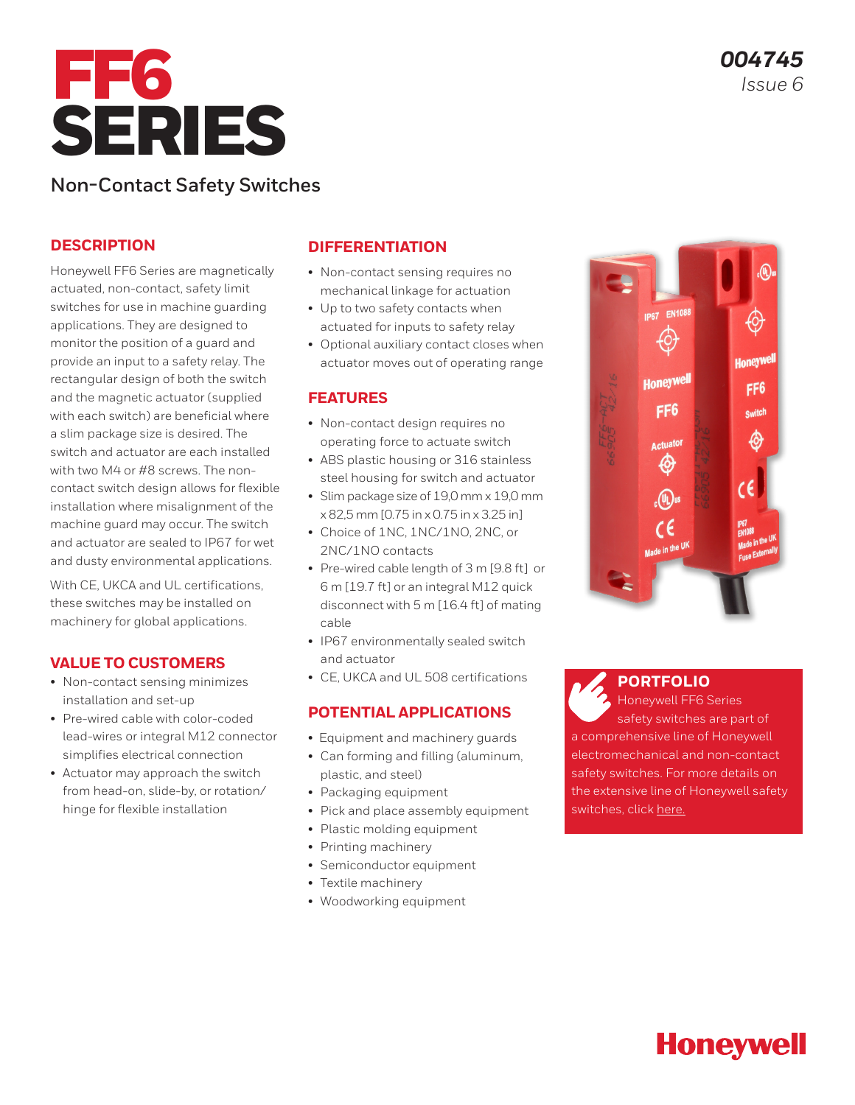

# **Non-Contact Safety Switches**

#### **DESCRIPTION**

Honeywell FF6 Series are magnetically actuated, non-contact, safety limit switches for use in machine guarding applications. They are designed to monitor the position of a guard and provide an input to a safety relay. The rectangular design of both the switch and the magnetic actuator (supplied with each switch) are beneficial where a slim package size is desired. The switch and actuator are each installed with two M4 or #8 screws. The noncontact switch design allows for flexible installation where misalignment of the machine guard may occur. The switch and actuator are sealed to IP67 for wet and dusty environmental applications.

With CE, UKCA and UL certifications, these switches may be installed on machinery for global applications.

#### **VALUE TO CUSTOMERS**

- Non-contact sensing minimizes installation and set-up
- Pre-wired cable with color-coded lead-wires or integral M12 connector simplifies electrical connection
- Actuator may approach the switch from head-on, slide-by, or rotation/ hinge for flexible installation

#### **DIFFERENTIATION**

- Non-contact sensing requires no mechanical linkage for actuation
- Up to two safety contacts when actuated for inputs to safety relay
- Optional auxiliary contact closes when actuator moves out of operating range

#### **FEATURES**

- Non-contact design requires no operating force to actuate switch
- ABS plastic housing or 316 stainless steel housing for switch and actuator
- Slim package size of 19,0 mm x 19,0 mm x 82,5 mm [0.75 in x 0.75 in x 3.25 in]
- Choice of 1NC, 1NC/1NO, 2NC, or 2NC/1NO contacts
- Pre-wired cable length of 3 m [9.8 ft] or 6 m [19.7 ft] or an integral M12 quick disconnect with 5 m [16.4 ft] of mating cable
- IP67 environmentally sealed switch and actuator
- CE, UKCA and UL 508 certifications

#### **POTENTIAL APPLICATIONS**

- Equipment and machinery guards
- Can forming and filling (aluminum, plastic, and steel)
- Packaging equipment
- Pick and place assembly equipment
- Plastic molding equipment
- Printing machinery
- Semiconductor equipment
- Textile machinery
- Woodworking equipment



#### **[PORTFOLIO](https://sps.honeywell.com/us/en/products/sensing-and-iot/switches-and-controls/safety-limit-switches/non-contact-switches)**

Honeywell FF6 Series safety switches are part of a comprehensive line of Honeywell electromechanical and non-contact safety switches. For more details on the extensive line of Honeywell safety switches, click [here.](https://sensing.honeywell.com/switches/safety-switches)

# **Honeywell**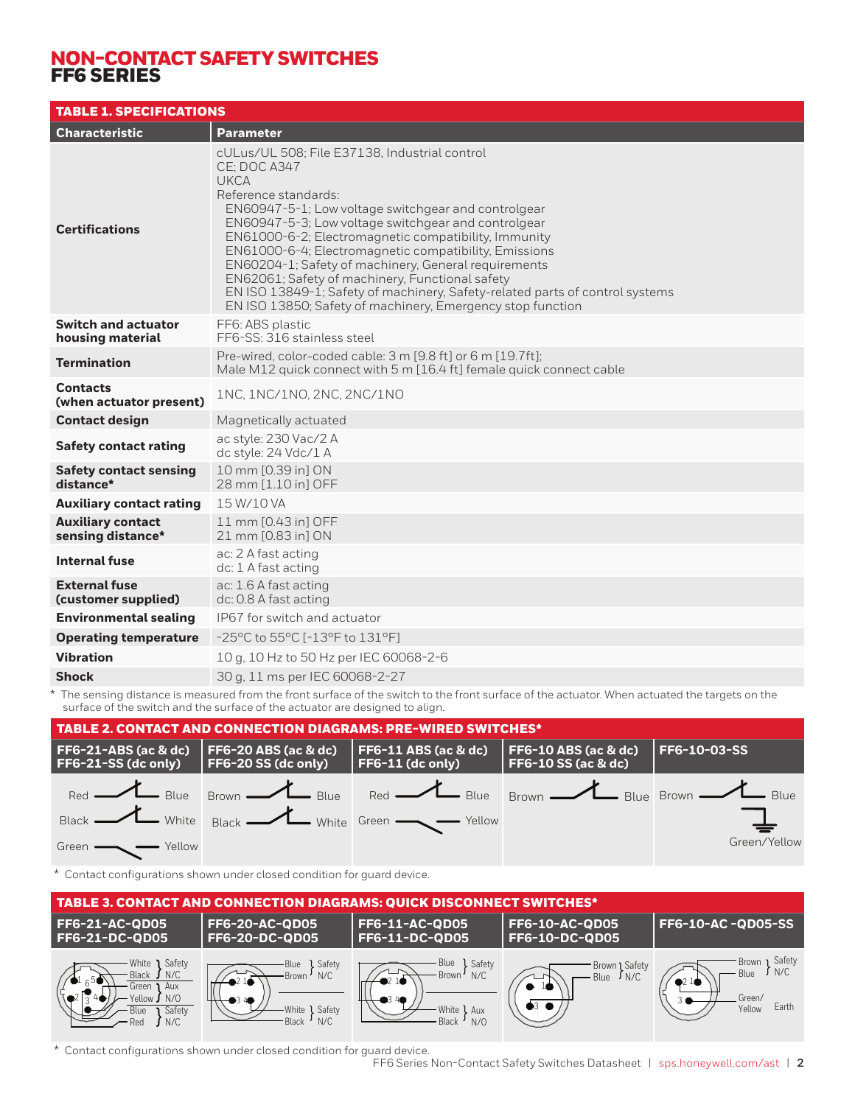## NON-CONTACT SAFETY SWITCHES FF6 SERIES

| <b>TABLE 1. SPECIFICATIONS</b>                 |                                                                                                                                                                                                                                                                                                                                                                                                                                                                                                                                                                                                     |
|------------------------------------------------|-----------------------------------------------------------------------------------------------------------------------------------------------------------------------------------------------------------------------------------------------------------------------------------------------------------------------------------------------------------------------------------------------------------------------------------------------------------------------------------------------------------------------------------------------------------------------------------------------------|
| <b>Characteristic</b>                          | <b>Parameter</b>                                                                                                                                                                                                                                                                                                                                                                                                                                                                                                                                                                                    |
| <b>Certifications</b>                          | cULus/UL 508; File E37138, Industrial control<br><b>CE: DOC A347</b><br><b>UKCA</b><br>Reference standards:<br>EN60947-5-1; Low voltage switchgear and controlgear<br>EN60947-5-3; Low voltage switchgear and controlgear<br>EN61000-6-2; Electromagnetic compatibility, Immunity<br>EN61000-6-4; Electromagnetic compatibility, Emissions<br>EN60204-1; Safety of machinery, General requirements<br>EN62061; Safety of machinery, Functional safety<br>EN ISO 13849-1; Safety of machinery, Safety-related parts of control systems<br>EN ISO 13850; Safety of machinery, Emergency stop function |
| <b>Switch and actuator</b><br>housing material | FF6: ABS plastic<br>FF6-SS: 316 stainless steel                                                                                                                                                                                                                                                                                                                                                                                                                                                                                                                                                     |
| <b>Termination</b>                             | Pre-wired, color-coded cable: 3 m [9.8 ft] or 6 m [19.7ft];<br>Male M12 quick connect with 5 m [16.4 ft] female quick connect cable                                                                                                                                                                                                                                                                                                                                                                                                                                                                 |
| <b>Contacts</b><br>(when actuator present)     | 1NC, 1NC/1NO, 2NC, 2NC/1NO                                                                                                                                                                                                                                                                                                                                                                                                                                                                                                                                                                          |
| <b>Contact design</b>                          | Magnetically actuated                                                                                                                                                                                                                                                                                                                                                                                                                                                                                                                                                                               |
| <b>Safety contact rating</b>                   | ac style: 230 Vac/2 A<br>dc style: 24 Vdc/1 A                                                                                                                                                                                                                                                                                                                                                                                                                                                                                                                                                       |
| <b>Safety contact sensing</b><br>distance*     | 10 mm [0.39 in] ON<br>28 mm [1.10 in] OFF                                                                                                                                                                                                                                                                                                                                                                                                                                                                                                                                                           |
| <b>Auxiliary contact rating</b>                | 15 W/10 VA                                                                                                                                                                                                                                                                                                                                                                                                                                                                                                                                                                                          |
| <b>Auxiliary contact</b><br>sensing distance*  | 11 mm [0.43 in] OFF<br>21 mm [0.83 in] ON                                                                                                                                                                                                                                                                                                                                                                                                                                                                                                                                                           |
| <b>Internal fuse</b>                           | ac: 2 A fast acting<br>dc: 1 A fast acting                                                                                                                                                                                                                                                                                                                                                                                                                                                                                                                                                          |
| <b>External fuse</b><br>(customer supplied)    | ac: 1.6 A fast acting<br>dc: 0.8 A fast acting                                                                                                                                                                                                                                                                                                                                                                                                                                                                                                                                                      |
| <b>Environmental sealing</b>                   | IP67 for switch and actuator                                                                                                                                                                                                                                                                                                                                                                                                                                                                                                                                                                        |
| <b>Operating temperature</b>                   | $-25^{\circ}$ C to 55 $^{\circ}$ C [ $-13^{\circ}$ F to 131 $^{\circ}$ F]                                                                                                                                                                                                                                                                                                                                                                                                                                                                                                                           |
| <b>Vibration</b>                               | 10 g, 10 Hz to 50 Hz per IEC 60068-2-6                                                                                                                                                                                                                                                                                                                                                                                                                                                                                                                                                              |
| <b>Shock</b>                                   | 30 g, 11 ms per IEC 60068-2-27                                                                                                                                                                                                                                                                                                                                                                                                                                                                                                                                                                      |

\* The sensing distance is measured from the front surface of the switch to the front surface of the actuator. When actuated the targets on the surface of the switch and the surface of the actuator are designed to align.



\* Contact configurations shown under closed condition for guard device.



\* Contact configurations shown under closed condition for guard device.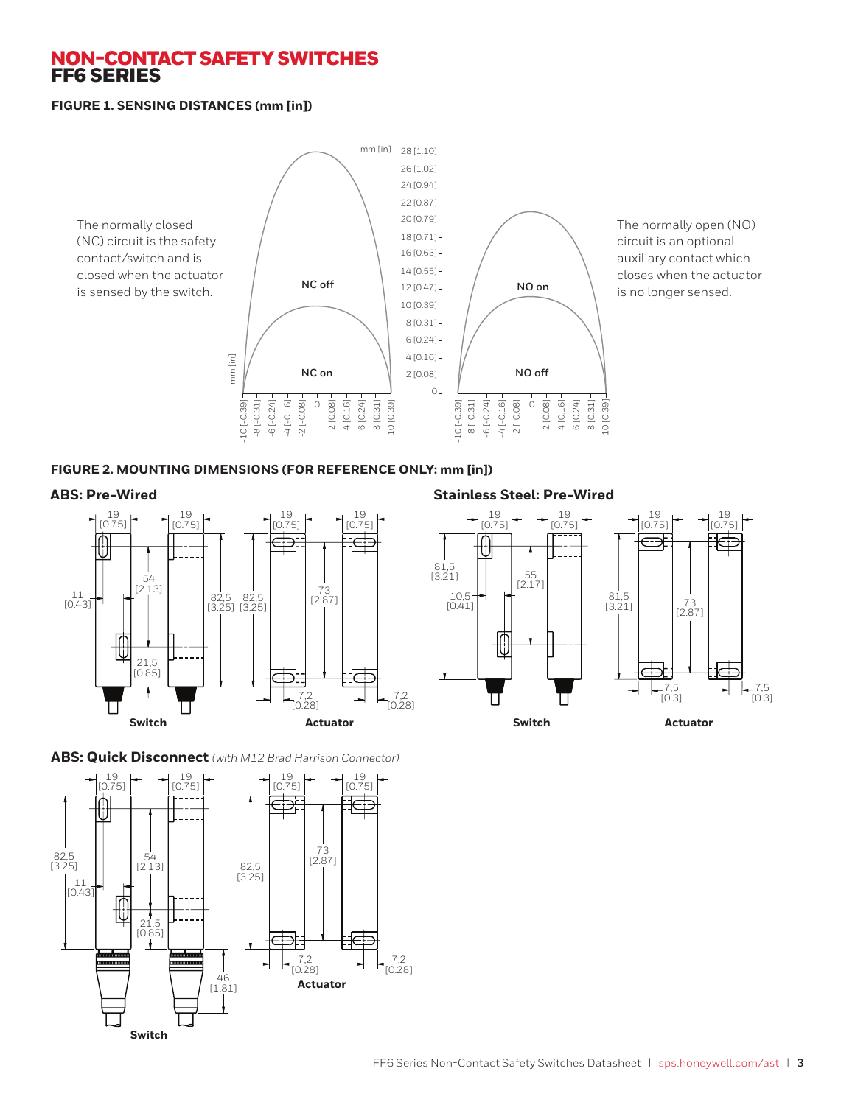### NON-CONTACT SAFETY SWITCHES FF6 SERIES

#### **FIGURE 1. SENSING DISTANCES (mm [in])**



The normally open (NO) circuit is an optional auxiliary contact which closes when the actuator is no longer sensed.

#### **FIGURE 2. MOUNTING DIMENSIONS (FOR REFERENCE ONLY: mm [in])**



#### **ABS: Pre-Wired Stainless Steel: Pre-Wired**





#### **ABS: Quick Disconnect** *(with M12 Brad Harrison Connector)*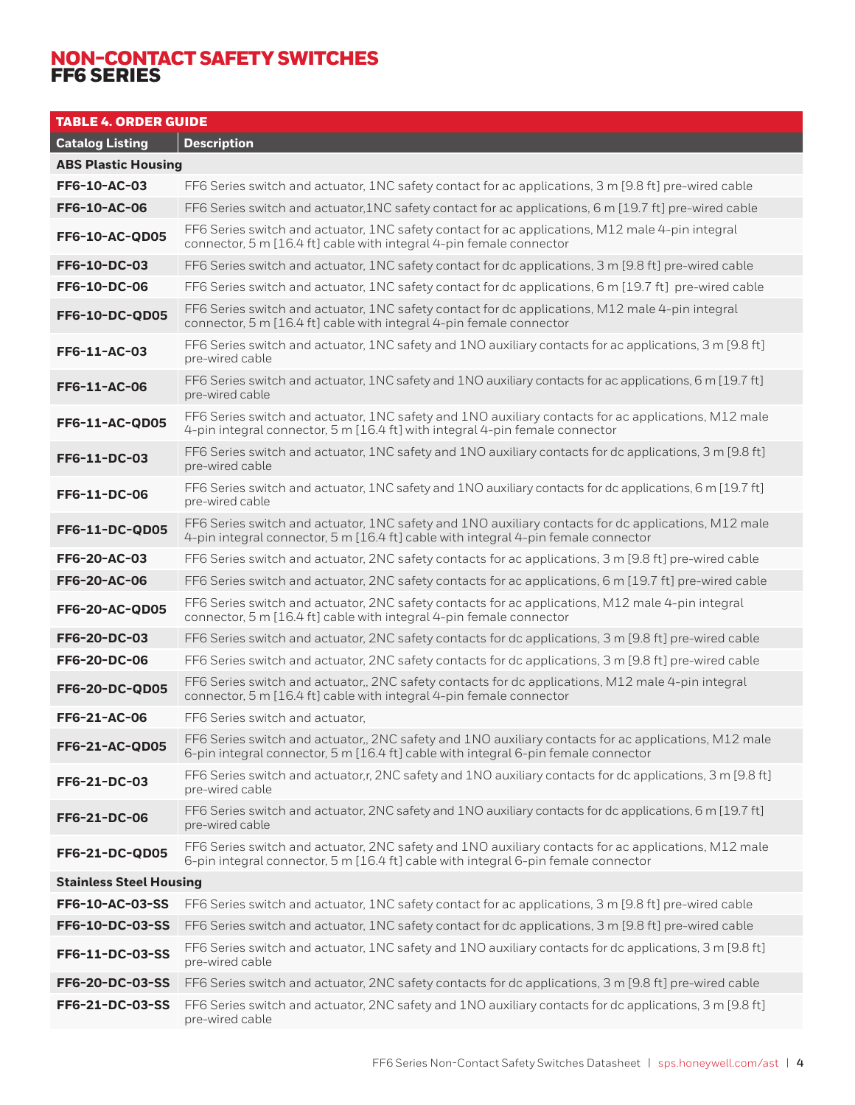## NON-CONTACT SAFETY SWITCHES FF6 SERIES

| <b>TABLE 4. ORDER GUIDE</b>                  |                                                                                                                                                                                            |  |
|----------------------------------------------|--------------------------------------------------------------------------------------------------------------------------------------------------------------------------------------------|--|
| <b>Catalog Listing</b><br><b>Description</b> |                                                                                                                                                                                            |  |
| <b>ABS Plastic Housing</b>                   |                                                                                                                                                                                            |  |
| FF6-10-AC-03                                 | FF6 Series switch and actuator, 1NC safety contact for ac applications, 3 m [9.8 ft] pre-wired cable                                                                                       |  |
| <b>FF6-10-AC-06</b>                          | FF6 Series switch and actuator, 1NC safety contact for ac applications, 6 m [19.7 ft] pre-wired cable                                                                                      |  |
| FF6-10-AC-QD05                               | FF6 Series switch and actuator, 1NC safety contact for ac applications, M12 male 4-pin integral<br>connector, 5 m [16.4 ft] cable with integral 4-pin female connector                     |  |
| <b>FF6-10-DC-03</b>                          | FF6 Series switch and actuator, 1NC safety contact for dc applications, 3 m [9.8 ft] pre-wired cable                                                                                       |  |
| <b>FF6-10-DC-06</b>                          | FF6 Series switch and actuator, 1NC safety contact for dc applications, 6 m [19.7 ft] pre-wired cable                                                                                      |  |
| <b>FF6-10-DC-QD05</b>                        | FF6 Series switch and actuator, 1NC safety contact for dc applications, M12 male 4-pin integral<br>connector, 5 m [16.4 ft] cable with integral 4-pin female connector                     |  |
| FF6-11-AC-03                                 | FF6 Series switch and actuator, 1NC safety and 1NO auxiliary contacts for ac applications, 3 m [9.8 ft]<br>pre-wired cable                                                                 |  |
| <b>FF6-11-AC-06</b>                          | FF6 Series switch and actuator, 1NC safety and 1NO auxiliary contacts for ac applications, 6 m [19.7 ft]<br>pre-wired cable                                                                |  |
| <b>FF6-11-AC-QD05</b>                        | FF6 Series switch and actuator, 1NC safety and 1NO auxiliary contacts for ac applications, M12 male<br>4-pin integral connector, 5 m [16.4 ft] with integral 4-pin female connector        |  |
| FF6-11-DC-03                                 | FF6 Series switch and actuator, 1NC safety and 1NO auxiliary contacts for dc applications, 3 m [9.8 ft]<br>pre-wired cable                                                                 |  |
| FF6-11-DC-06                                 | FF6 Series switch and actuator, 1NC safety and 1NO auxiliary contacts for dc applications, 6 m [19.7 ft]<br>pre-wired cable                                                                |  |
| <b>FF6-11-DC-QD05</b>                        | FF6 Series switch and actuator, 1NC safety and 1NO auxiliary contacts for dc applications, M12 male<br>4-pin integral connector, 5 m [16.4 ft] cable with integral 4-pin female connector  |  |
| FF6-20-AC-03                                 | FF6 Series switch and actuator, 2NC safety contacts for ac applications, 3 m [9.8 ft] pre-wired cable                                                                                      |  |
| FF6-20-AC-06                                 | FF6 Series switch and actuator, 2NC safety contacts for ac applications, 6 m [19.7 ft] pre-wired cable                                                                                     |  |
| <b>FF6-20-AC-QD05</b>                        | FF6 Series switch and actuator, 2NC safety contacts for ac applications, M12 male 4-pin integral<br>connector, 5 m [16.4 ft] cable with integral 4-pin female connector                    |  |
| FF6-20-DC-03                                 | FF6 Series switch and actuator, 2NC safety contacts for dc applications, 3 m [9.8 ft] pre-wired cable                                                                                      |  |
| <b>FF6-20-DC-06</b>                          | FF6 Series switch and actuator, 2NC safety contacts for dc applications, 3 m [9.8 ft] pre-wired cable                                                                                      |  |
| <b>FF6-20-DC-QD05</b>                        | FF6 Series switch and actuator,, 2NC safety contacts for dc applications, M12 male 4-pin integral<br>connector, 5 m [16.4 ft] cable with integral 4-pin female connector                   |  |
| FF6-21-AC-06                                 | FF6 Series switch and actuator,                                                                                                                                                            |  |
| FF6-21-AC-QD05                               | FF6 Series switch and actuator,, 2NC safety and 1NO auxiliary contacts for ac applications, M12 male<br>6-pin integral connector, 5 m [16.4 ft] cable with integral 6-pin female connector |  |
| FF6-21-DC-03                                 | FF6 Series switch and actuator, r, 2NC safety and 1NO auxiliary contacts for dc applications, 3 m [9.8 ft]<br>pre-wired cable                                                              |  |
| <b>FF6-21-DC-06</b>                          | FF6 Series switch and actuator, 2NC safety and 1NO auxiliary contacts for dc applications, 6 m [19.7 ft]<br>pre-wired cable                                                                |  |
| <b>FF6-21-DC-QD05</b>                        | FF6 Series switch and actuator, 2NC safety and 1NO auxiliary contacts for ac applications, M12 male<br>6-pin integral connector, 5 m [16.4 ft] cable with integral 6-pin female connector  |  |
| <b>Stainless Steel Housing</b>               |                                                                                                                                                                                            |  |
| FF6-10-AC-03-SS                              | FF6 Series switch and actuator, 1NC safety contact for ac applications, 3 m [9.8 ft] pre-wired cable                                                                                       |  |
| FF6-10-DC-03-SS                              | FF6 Series switch and actuator, 1NC safety contact for dc applications, 3 m [9.8 ft] pre-wired cable                                                                                       |  |
| FF6-11-DC-03-SS                              | FF6 Series switch and actuator, 1NC safety and 1NO auxiliary contacts for dc applications, 3 m [9.8 ft]<br>pre-wired cable                                                                 |  |
| FF6-20-DC-03-SS                              | FF6 Series switch and actuator, 2NC safety contacts for dc applications, 3 m [9.8 ft] pre-wired cable                                                                                      |  |
| <b>FF6-21-DC-03-SS</b>                       | FF6 Series switch and actuator, 2NC safety and 1NO auxiliary contacts for dc applications, 3 m [9.8 ft]<br>pre-wired cable                                                                 |  |